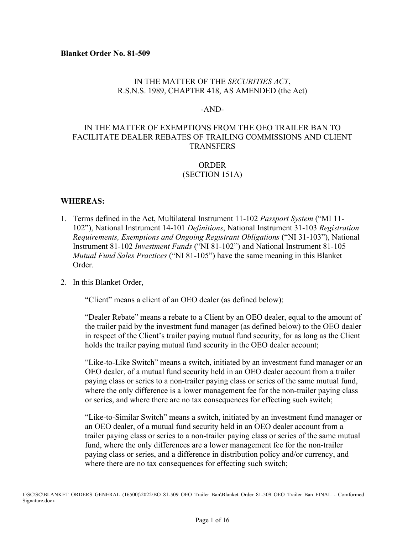### IN THE MATTER OF THE *SECURITIES ACT*, R.S.N.S. 1989, CHAPTER 418, AS AMENDED (the Act)

#### -AND-

### IN THE MATTER OF EXEMPTIONS FROM THE OEO TRAILER BAN TO FACILITATE DEALER REBATES OF TRAILING COMMISSIONS AND CLIENT **TRANSFERS**

#### ORDER (SECTION 151A)

#### **WHEREAS:**

1. Terms defined in the Act, Multilateral Instrument 11-102 *Passport System* ("MI 11- 102"), National Instrument 14-101 *Definitions*, National Instrument 31-103 *Registration Requirements, Exemptions and Ongoing Registrant Obligations* ("NI 31-103"), National Instrument 81-102 *Investment Funds* ("NI 81-102") and National Instrument 81-105 *Mutual Fund Sales Practices* ("NI 81-105") have the same meaning in this Blanket Order.

#### 2. In this Blanket Order,

"Client" means a client of an OEO dealer (as defined below);

"Dealer Rebate" means a rebate to a Client by an OEO dealer, equal to the amount of the trailer paid by the investment fund manager (as defined below) to the OEO dealer in respect of the Client's trailer paying mutual fund security, for as long as the Client holds the trailer paying mutual fund security in the OEO dealer account;

"Like-to-Like Switch" means a switch, initiated by an investment fund manager or an OEO dealer, of a mutual fund security held in an OEO dealer account from a trailer paying class or series to a non-trailer paying class or series of the same mutual fund, where the only difference is a lower management fee for the non-trailer paying class or series, and where there are no tax consequences for effecting such switch;

"Like-to-Similar Switch" means a switch, initiated by an investment fund manager or an OEO dealer, of a mutual fund security held in an OEO dealer account from a trailer paying class or series to a non-trailer paying class or series of the same mutual fund, where the only differences are a lower management fee for the non-trailer paying class or series, and a difference in distribution policy and/or currency, and where there are no tax consequences for effecting such switch;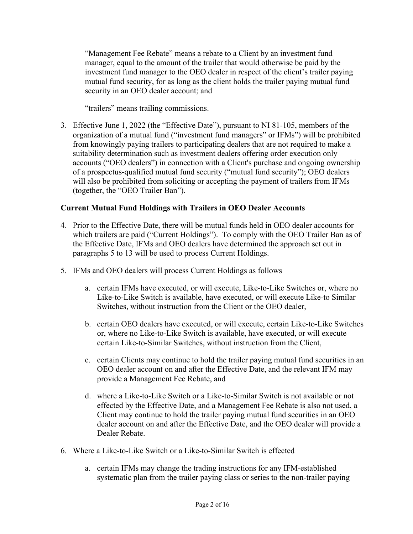"Management Fee Rebate" means a rebate to a Client by an investment fund manager, equal to the amount of the trailer that would otherwise be paid by the investment fund manager to the OEO dealer in respect of the client's trailer paying mutual fund security, for as long as the client holds the trailer paying mutual fund security in an OEO dealer account; and

"trailers" means trailing commissions.

3. Effective June 1, 2022 (the "Effective Date"), pursuant to NI 81-105, members of the organization of a mutual fund ("investment fund managers" or IFMs") will be prohibited from knowingly paying trailers to participating dealers that are not required to make a suitability determination such as investment dealers offering order execution only accounts ("OEO dealers") in connection with a Client's purchase and ongoing ownership of a prospectus-qualified mutual fund security ("mutual fund security"); OEO dealers will also be prohibited from soliciting or accepting the payment of trailers from IFMs (together, the "OEO Trailer Ban").

## **Current Mutual Fund Holdings with Trailers in OEO Dealer Accounts**

- 4. Prior to the Effective Date, there will be mutual funds held in OEO dealer accounts for which trailers are paid ("Current Holdings"). To comply with the OEO Trailer Ban as of the Effective Date, IFMs and OEO dealers have determined the approach set out in paragraphs 5 to 13 will be used to process Current Holdings.
- 5. IFMs and OEO dealers will process Current Holdings as follows
	- a. certain IFMs have executed, or will execute, Like-to-Like Switches or, where no Like-to-Like Switch is available, have executed, or will execute Like-to Similar Switches, without instruction from the Client or the OEO dealer,
	- b. certain OEO dealers have executed, or will execute, certain Like-to-Like Switches or, where no Like-to-Like Switch is available, have executed, or will execute certain Like-to-Similar Switches, without instruction from the Client,
	- c. certain Clients may continue to hold the trailer paying mutual fund securities in an OEO dealer account on and after the Effective Date, and the relevant IFM may provide a Management Fee Rebate, and
	- d. where a Like-to-Like Switch or a Like-to-Similar Switch is not available or not effected by the Effective Date, and a Management Fee Rebate is also not used, a Client may continue to hold the trailer paying mutual fund securities in an OEO dealer account on and after the Effective Date, and the OEO dealer will provide a Dealer Rebate.
- 6. Where a Like-to-Like Switch or a Like-to-Similar Switch is effected
	- a. certain IFMs may change the trading instructions for any IFM-established systematic plan from the trailer paying class or series to the non-trailer paying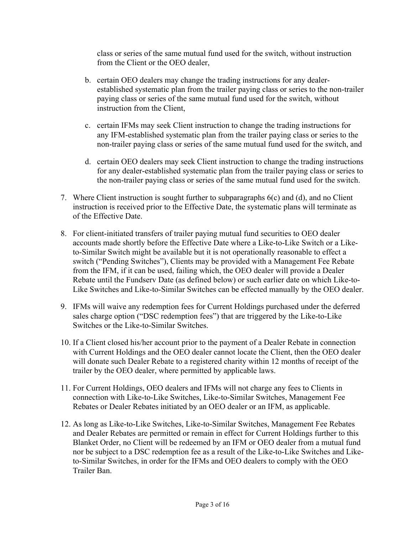class or series of the same mutual fund used for the switch, without instruction from the Client or the OEO dealer,

- b. certain OEO dealers may change the trading instructions for any dealerestablished systematic plan from the trailer paying class or series to the non-trailer paying class or series of the same mutual fund used for the switch, without instruction from the Client,
- c. certain IFMs may seek Client instruction to change the trading instructions for any IFM-established systematic plan from the trailer paying class or series to the non-trailer paying class or series of the same mutual fund used for the switch, and
- d. certain OEO dealers may seek Client instruction to change the trading instructions for any dealer-established systematic plan from the trailer paying class or series to the non-trailer paying class or series of the same mutual fund used for the switch.
- 7. Where Client instruction is sought further to subparagraphs  $6(c)$  and  $(d)$ , and no Client instruction is received prior to the Effective Date, the systematic plans will terminate as of the Effective Date.
- 8. For client-initiated transfers of trailer paying mutual fund securities to OEO dealer accounts made shortly before the Effective Date where a Like-to-Like Switch or a Liketo-Similar Switch might be available but it is not operationally reasonable to effect a switch ("Pending Switches"), Clients may be provided with a Management Fee Rebate from the IFM, if it can be used, failing which, the OEO dealer will provide a Dealer Rebate until the Fundserv Date (as defined below) or such earlier date on which Like-to-Like Switches and Like-to-Similar Switches can be effected manually by the OEO dealer.
- 9. IFMs will waive any redemption fees for Current Holdings purchased under the deferred sales charge option ("DSC redemption fees") that are triggered by the Like-to-Like Switches or the Like-to-Similar Switches.
- 10. If a Client closed his/her account prior to the payment of a Dealer Rebate in connection with Current Holdings and the OEO dealer cannot locate the Client, then the OEO dealer will donate such Dealer Rebate to a registered charity within 12 months of receipt of the trailer by the OEO dealer, where permitted by applicable laws.
- 11. For Current Holdings, OEO dealers and IFMs will not charge any fees to Clients in connection with Like-to-Like Switches, Like-to-Similar Switches, Management Fee Rebates or Dealer Rebates initiated by an OEO dealer or an IFM, as applicable.
- 12. As long as Like-to-Like Switches, Like-to-Similar Switches, Management Fee Rebates and Dealer Rebates are permitted or remain in effect for Current Holdings further to this Blanket Order, no Client will be redeemed by an IFM or OEO dealer from a mutual fund nor be subject to a DSC redemption fee as a result of the Like-to-Like Switches and Liketo-Similar Switches, in order for the IFMs and OEO dealers to comply with the OEO Trailer Ban.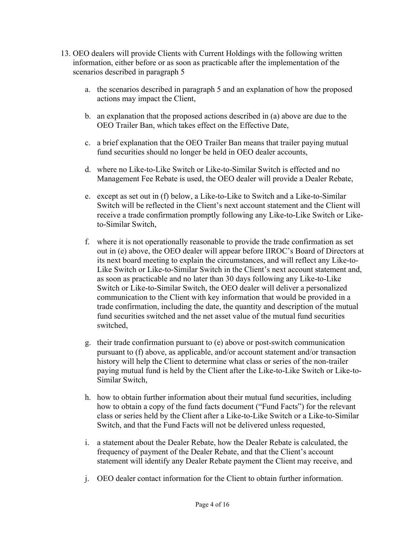- 13. OEO dealers will provide Clients with Current Holdings with the following written information, either before or as soon as practicable after the implementation of the scenarios described in paragraph 5
	- a. the scenarios described in paragraph 5 and an explanation of how the proposed actions may impact the Client,
	- b. an explanation that the proposed actions described in (a) above are due to the OEO Trailer Ban, which takes effect on the Effective Date,
	- c. a brief explanation that the OEO Trailer Ban means that trailer paying mutual fund securities should no longer be held in OEO dealer accounts,
	- d. where no Like-to-Like Switch or Like-to-Similar Switch is effected and no Management Fee Rebate is used, the OEO dealer will provide a Dealer Rebate,
	- e. except as set out in (f) below, a Like-to-Like to Switch and a Like-to-Similar Switch will be reflected in the Client's next account statement and the Client will receive a trade confirmation promptly following any Like-to-Like Switch or Liketo-Similar Switch,
	- f. where it is not operationally reasonable to provide the trade confirmation as set out in (e) above, the OEO dealer will appear before IIROC's Board of Directors at its next board meeting to explain the circumstances, and will reflect any Like-to-Like Switch or Like-to-Similar Switch in the Client's next account statement and, as soon as practicable and no later than 30 days following any Like-to-Like Switch or Like-to-Similar Switch, the OEO dealer will deliver a personalized communication to the Client with key information that would be provided in a trade confirmation, including the date, the quantity and description of the mutual fund securities switched and the net asset value of the mutual fund securities switched,
	- g. their trade confirmation pursuant to (e) above or post-switch communication pursuant to (f) above, as applicable, and/or account statement and/or transaction history will help the Client to determine what class or series of the non-trailer paying mutual fund is held by the Client after the Like-to-Like Switch or Like-to-Similar Switch,
	- h. how to obtain further information about their mutual fund securities, including how to obtain a copy of the fund facts document ("Fund Facts") for the relevant class or series held by the Client after a Like-to-Like Switch or a Like-to-Similar Switch, and that the Fund Facts will not be delivered unless requested,
	- i. a statement about the Dealer Rebate, how the Dealer Rebate is calculated, the frequency of payment of the Dealer Rebate, and that the Client's account statement will identify any Dealer Rebate payment the Client may receive, and
	- j. OEO dealer contact information for the Client to obtain further information.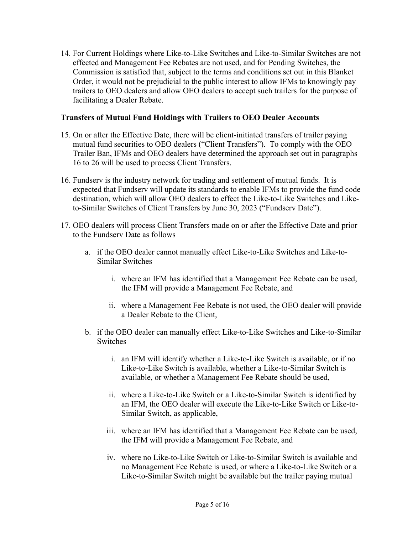14. For Current Holdings where Like-to-Like Switches and Like-to-Similar Switches are not effected and Management Fee Rebates are not used, and for Pending Switches, the Commission is satisfied that, subject to the terms and conditions set out in this Blanket Order, it would not be prejudicial to the public interest to allow IFMs to knowingly pay trailers to OEO dealers and allow OEO dealers to accept such trailers for the purpose of facilitating a Dealer Rebate.

#### **Transfers of Mutual Fund Holdings with Trailers to OEO Dealer Accounts**

- 15. On or after the Effective Date, there will be client-initiated transfers of trailer paying mutual fund securities to OEO dealers ("Client Transfers"). To comply with the OEO Trailer Ban, IFMs and OEO dealers have determined the approach set out in paragraphs 16 to 26 will be used to process Client Transfers.
- 16. Fundserv is the industry network for trading and settlement of mutual funds. It is expected that Fundserv will update its standards to enable IFMs to provide the fund code destination, which will allow OEO dealers to effect the Like-to-Like Switches and Liketo-Similar Switches of Client Transfers by June 30, 2023 ("Fundserv Date").
- 17. OEO dealers will process Client Transfers made on or after the Effective Date and prior to the Fundserv Date as follows
	- a. if the OEO dealer cannot manually effect Like-to-Like Switches and Like-to-Similar Switches
		- i. where an IFM has identified that a Management Fee Rebate can be used, the IFM will provide a Management Fee Rebate, and
		- ii. where a Management Fee Rebate is not used, the OEO dealer will provide a Dealer Rebate to the Client,
	- b. if the OEO dealer can manually effect Like-to-Like Switches and Like-to-Similar Switches
		- i. an IFM will identify whether a Like-to-Like Switch is available, or if no Like-to-Like Switch is available, whether a Like-to-Similar Switch is available, or whether a Management Fee Rebate should be used,
		- ii. where a Like-to-Like Switch or a Like-to-Similar Switch is identified by an IFM, the OEO dealer will execute the Like-to-Like Switch or Like-to-Similar Switch, as applicable,
		- iii. where an IFM has identified that a Management Fee Rebate can be used, the IFM will provide a Management Fee Rebate, and
		- iv. where no Like-to-Like Switch or Like-to-Similar Switch is available and no Management Fee Rebate is used, or where a Like-to-Like Switch or a Like-to-Similar Switch might be available but the trailer paying mutual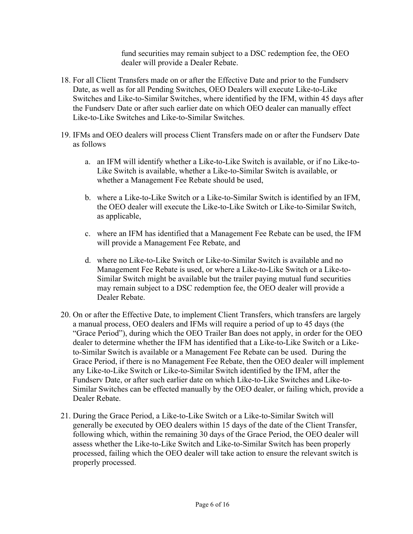fund securities may remain subject to a DSC redemption fee, the OEO dealer will provide a Dealer Rebate.

- 18. For all Client Transfers made on or after the Effective Date and prior to the Fundserv Date, as well as for all Pending Switches, OEO Dealers will execute Like-to-Like Switches and Like-to-Similar Switches, where identified by the IFM, within 45 days after the Fundserv Date or after such earlier date on which OEO dealer can manually effect Like-to-Like Switches and Like-to-Similar Switches.
- 19. IFMs and OEO dealers will process Client Transfers made on or after the Fundserv Date as follows
	- a. an IFM will identify whether a Like-to-Like Switch is available, or if no Like-to-Like Switch is available, whether a Like-to-Similar Switch is available, or whether a Management Fee Rebate should be used,
	- b. where a Like-to-Like Switch or a Like-to-Similar Switch is identified by an IFM, the OEO dealer will execute the Like-to-Like Switch or Like-to-Similar Switch, as applicable,
	- c. where an IFM has identified that a Management Fee Rebate can be used, the IFM will provide a Management Fee Rebate, and
	- d. where no Like-to-Like Switch or Like-to-Similar Switch is available and no Management Fee Rebate is used, or where a Like-to-Like Switch or a Like-to-Similar Switch might be available but the trailer paying mutual fund securities may remain subject to a DSC redemption fee, the OEO dealer will provide a Dealer Rebate.
- 20. On or after the Effective Date, to implement Client Transfers, which transfers are largely a manual process, OEO dealers and IFMs will require a period of up to 45 days (the "Grace Period"), during which the OEO Trailer Ban does not apply, in order for the OEO dealer to determine whether the IFM has identified that a Like-to-Like Switch or a Liketo-Similar Switch is available or a Management Fee Rebate can be used. During the Grace Period, if there is no Management Fee Rebate, then the OEO dealer will implement any Like-to-Like Switch or Like-to-Similar Switch identified by the IFM, after the Fundserv Date, or after such earlier date on which Like-to-Like Switches and Like-to-Similar Switches can be effected manually by the OEO dealer, or failing which, provide a Dealer Rebate.
- 21. During the Grace Period, a Like-to-Like Switch or a Like-to-Similar Switch will generally be executed by OEO dealers within 15 days of the date of the Client Transfer, following which, within the remaining 30 days of the Grace Period, the OEO dealer will assess whether the Like-to-Like Switch and Like-to-Similar Switch has been properly processed, failing which the OEO dealer will take action to ensure the relevant switch is properly processed.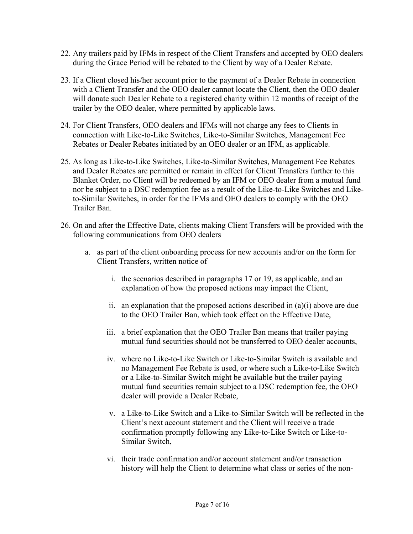- 22. Any trailers paid by IFMs in respect of the Client Transfers and accepted by OEO dealers during the Grace Period will be rebated to the Client by way of a Dealer Rebate.
- 23. If a Client closed his/her account prior to the payment of a Dealer Rebate in connection with a Client Transfer and the OEO dealer cannot locate the Client, then the OEO dealer will donate such Dealer Rebate to a registered charity within 12 months of receipt of the trailer by the OEO dealer, where permitted by applicable laws.
- 24. For Client Transfers, OEO dealers and IFMs will not charge any fees to Clients in connection with Like-to-Like Switches, Like-to-Similar Switches, Management Fee Rebates or Dealer Rebates initiated by an OEO dealer or an IFM, as applicable.
- 25. As long as Like-to-Like Switches, Like-to-Similar Switches, Management Fee Rebates and Dealer Rebates are permitted or remain in effect for Client Transfers further to this Blanket Order, no Client will be redeemed by an IFM or OEO dealer from a mutual fund nor be subject to a DSC redemption fee as a result of the Like-to-Like Switches and Liketo-Similar Switches, in order for the IFMs and OEO dealers to comply with the OEO Trailer Ban.
- 26. On and after the Effective Date, clients making Client Transfers will be provided with the following communications from OEO dealers
	- a. as part of the client onboarding process for new accounts and/or on the form for Client Transfers, written notice of
		- i. the scenarios described in paragraphs 17 or 19, as applicable, and an explanation of how the proposed actions may impact the Client,
		- ii. an explanation that the proposed actions described in (a)(i) above are due to the OEO Trailer Ban, which took effect on the Effective Date,
		- iii. a brief explanation that the OEO Trailer Ban means that trailer paying mutual fund securities should not be transferred to OEO dealer accounts,
		- iv. where no Like-to-Like Switch or Like-to-Similar Switch is available and no Management Fee Rebate is used, or where such a Like-to-Like Switch or a Like-to-Similar Switch might be available but the trailer paying mutual fund securities remain subject to a DSC redemption fee, the OEO dealer will provide a Dealer Rebate,
		- v. a Like-to-Like Switch and a Like-to-Similar Switch will be reflected in the Client's next account statement and the Client will receive a trade confirmation promptly following any Like-to-Like Switch or Like-to-Similar Switch,
		- vi. their trade confirmation and/or account statement and/or transaction history will help the Client to determine what class or series of the non-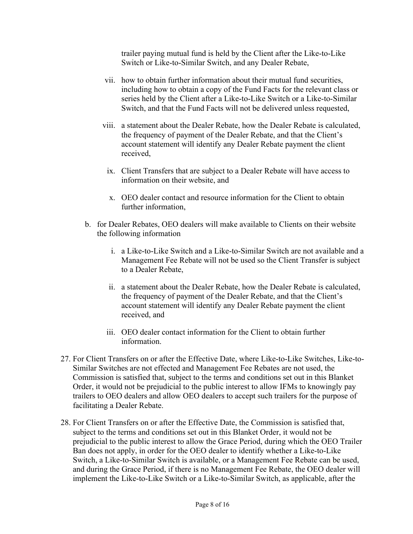trailer paying mutual fund is held by the Client after the Like-to-Like Switch or Like-to-Similar Switch, and any Dealer Rebate,

- vii. how to obtain further information about their mutual fund securities, including how to obtain a copy of the Fund Facts for the relevant class or series held by the Client after a Like-to-Like Switch or a Like-to-Similar Switch, and that the Fund Facts will not be delivered unless requested,
- viii. a statement about the Dealer Rebate, how the Dealer Rebate is calculated, the frequency of payment of the Dealer Rebate, and that the Client's account statement will identify any Dealer Rebate payment the client received,
	- ix. Client Transfers that are subject to a Dealer Rebate will have access to information on their website, and
	- x. OEO dealer contact and resource information for the Client to obtain further information,
- b. for Dealer Rebates, OEO dealers will make available to Clients on their website the following information
	- i. a Like-to-Like Switch and a Like-to-Similar Switch are not available and a Management Fee Rebate will not be used so the Client Transfer is subject to a Dealer Rebate,
	- ii. a statement about the Dealer Rebate, how the Dealer Rebate is calculated, the frequency of payment of the Dealer Rebate, and that the Client's account statement will identify any Dealer Rebate payment the client received, and
	- iii. OEO dealer contact information for the Client to obtain further information.
- 27. For Client Transfers on or after the Effective Date, where Like-to-Like Switches, Like-to-Similar Switches are not effected and Management Fee Rebates are not used, the Commission is satisfied that, subject to the terms and conditions set out in this Blanket Order, it would not be prejudicial to the public interest to allow IFMs to knowingly pay trailers to OEO dealers and allow OEO dealers to accept such trailers for the purpose of facilitating a Dealer Rebate.
- 28. For Client Transfers on or after the Effective Date, the Commission is satisfied that, subject to the terms and conditions set out in this Blanket Order, it would not be prejudicial to the public interest to allow the Grace Period, during which the OEO Trailer Ban does not apply, in order for the OEO dealer to identify whether a Like-to-Like Switch, a Like-to-Similar Switch is available, or a Management Fee Rebate can be used, and during the Grace Period, if there is no Management Fee Rebate, the OEO dealer will implement the Like-to-Like Switch or a Like-to-Similar Switch, as applicable, after the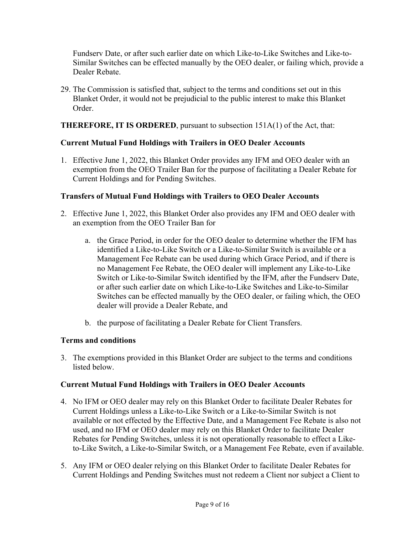Fundserv Date, or after such earlier date on which Like-to-Like Switches and Like-to-Similar Switches can be effected manually by the OEO dealer, or failing which, provide a Dealer Rebate.

29. The Commission is satisfied that, subject to the terms and conditions set out in this Blanket Order, it would not be prejudicial to the public interest to make this Blanket Order.

### **THEREFORE, IT IS ORDERED**, pursuant to subsection 151A(1) of the Act, that:

## **Current Mutual Fund Holdings with Trailers in OEO Dealer Accounts**

1. Effective June 1, 2022, this Blanket Order provides any IFM and OEO dealer with an exemption from the OEO Trailer Ban for the purpose of facilitating a Dealer Rebate for Current Holdings and for Pending Switches.

### **Transfers of Mutual Fund Holdings with Trailers to OEO Dealer Accounts**

- 2. Effective June 1, 2022, this Blanket Order also provides any IFM and OEO dealer with an exemption from the OEO Trailer Ban for
	- a. the Grace Period, in order for the OEO dealer to determine whether the IFM has identified a Like-to-Like Switch or a Like-to-Similar Switch is available or a Management Fee Rebate can be used during which Grace Period, and if there is no Management Fee Rebate, the OEO dealer will implement any Like-to-Like Switch or Like-to-Similar Switch identified by the IFM, after the Fundserv Date, or after such earlier date on which Like-to-Like Switches and Like-to-Similar Switches can be effected manually by the OEO dealer, or failing which, the OEO dealer will provide a Dealer Rebate, and
	- b. the purpose of facilitating a Dealer Rebate for Client Transfers.

### **Terms and conditions**

3. The exemptions provided in this Blanket Order are subject to the terms and conditions listed below.

### **Current Mutual Fund Holdings with Trailers in OEO Dealer Accounts**

- 4. No IFM or OEO dealer may rely on this Blanket Order to facilitate Dealer Rebates for Current Holdings unless a Like-to-Like Switch or a Like-to-Similar Switch is not available or not effected by the Effective Date, and a Management Fee Rebate is also not used, and no IFM or OEO dealer may rely on this Blanket Order to facilitate Dealer Rebates for Pending Switches, unless it is not operationally reasonable to effect a Liketo-Like Switch, a Like-to-Similar Switch, or a Management Fee Rebate, even if available.
- 5. Any IFM or OEO dealer relying on this Blanket Order to facilitate Dealer Rebates for Current Holdings and Pending Switches must not redeem a Client nor subject a Client to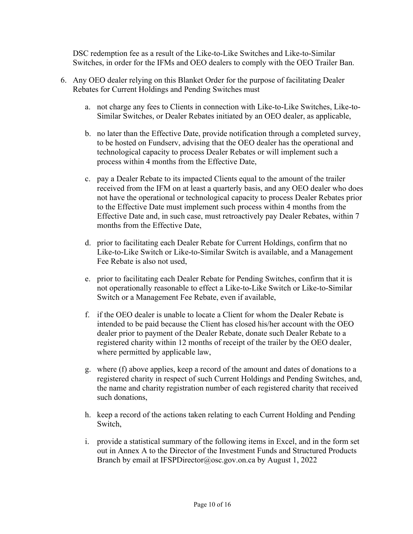DSC redemption fee as a result of the Like-to-Like Switches and Like-to-Similar Switches, in order for the IFMs and OEO dealers to comply with the OEO Trailer Ban.

- 6. Any OEO dealer relying on this Blanket Order for the purpose of facilitating Dealer Rebates for Current Holdings and Pending Switches must
	- a. not charge any fees to Clients in connection with Like-to-Like Switches, Like-to-Similar Switches, or Dealer Rebates initiated by an OEO dealer, as applicable,
	- b. no later than the Effective Date, provide notification through a completed survey, to be hosted on Fundserv, advising that the OEO dealer has the operational and technological capacity to process Dealer Rebates or will implement such a process within 4 months from the Effective Date,
	- c. pay a Dealer Rebate to its impacted Clients equal to the amount of the trailer received from the IFM on at least a quarterly basis, and any OEO dealer who does not have the operational or technological capacity to process Dealer Rebates prior to the Effective Date must implement such process within 4 months from the Effective Date and, in such case, must retroactively pay Dealer Rebates, within 7 months from the Effective Date,
	- d. prior to facilitating each Dealer Rebate for Current Holdings, confirm that no Like-to-Like Switch or Like-to-Similar Switch is available, and a Management Fee Rebate is also not used,
	- e. prior to facilitating each Dealer Rebate for Pending Switches, confirm that it is not operationally reasonable to effect a Like-to-Like Switch or Like-to-Similar Switch or a Management Fee Rebate, even if available,
	- f. if the OEO dealer is unable to locate a Client for whom the Dealer Rebate is intended to be paid because the Client has closed his/her account with the OEO dealer prior to payment of the Dealer Rebate, donate such Dealer Rebate to a registered charity within 12 months of receipt of the trailer by the OEO dealer, where permitted by applicable law,
	- g. where (f) above applies, keep a record of the amount and dates of donations to a registered charity in respect of such Current Holdings and Pending Switches, and, the name and charity registration number of each registered charity that received such donations,
	- h. keep a record of the actions taken relating to each Current Holding and Pending Switch,
	- i. provide a statistical summary of the following items in Excel, and in the form set out in Annex A to the Director of the Investment Funds and Structured Products Branch by email at IFSPDirector@osc.gov.on.ca by August 1, 2022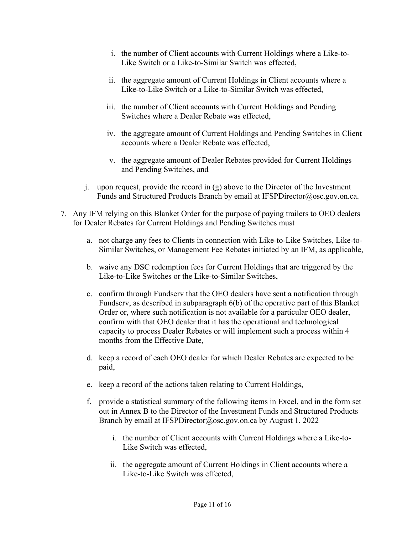- i. the number of Client accounts with Current Holdings where a Like-to-Like Switch or a Like-to-Similar Switch was effected,
- ii. the aggregate amount of Current Holdings in Client accounts where a Like-to-Like Switch or a Like-to-Similar Switch was effected,
- iii. the number of Client accounts with Current Holdings and Pending Switches where a Dealer Rebate was effected,
- iv. the aggregate amount of Current Holdings and Pending Switches in Client accounts where a Dealer Rebate was effected,
- v. the aggregate amount of Dealer Rebates provided for Current Holdings and Pending Switches, and
- j. upon request, provide the record in (g) above to the Director of the Investment Funds and Structured Products Branch by email at IFSPDirector@osc.gov.on.ca.
- 7. Any IFM relying on this Blanket Order for the purpose of paying trailers to OEO dealers for Dealer Rebates for Current Holdings and Pending Switches must
	- a. not charge any fees to Clients in connection with Like-to-Like Switches, Like-to-Similar Switches, or Management Fee Rebates initiated by an IFM, as applicable,
	- b. waive any DSC redemption fees for Current Holdings that are triggered by the Like-to-Like Switches or the Like-to-Similar Switches,
	- c. confirm through Fundserv that the OEO dealers have sent a notification through Fundserv, as described in subparagraph 6(b) of the operative part of this Blanket Order or, where such notification is not available for a particular OEO dealer, confirm with that OEO dealer that it has the operational and technological capacity to process Dealer Rebates or will implement such a process within 4 months from the Effective Date,
	- d. keep a record of each OEO dealer for which Dealer Rebates are expected to be paid,
	- e. keep a record of the actions taken relating to Current Holdings,
	- f. provide a statistical summary of the following items in Excel, and in the form set out in Annex B to the Director of the Investment Funds and Structured Products Branch by email at IFSPDirector@osc.gov.on.ca by August 1, 2022
		- i. the number of Client accounts with Current Holdings where a Like-to-Like Switch was effected,
		- ii. the aggregate amount of Current Holdings in Client accounts where a Like-to-Like Switch was effected,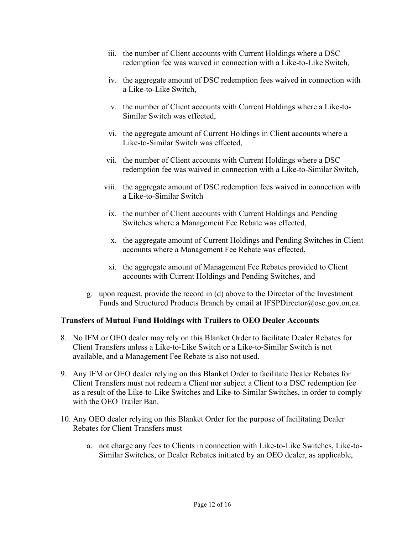- iii. the number of Client accounts with Current Holdings where a DSC redemption fee was waived in connection with a Like-to-Like Switch,
- iv. the aggregate amount of DSC redemption fees waived in connection with a Like-to-Like Switch,
- v. the number of Client accounts with Current Holdings where a Like-to-Similar Switch was effected,
- vi. the aggregate amount of Current Holdings in Client accounts where a Like-to-Similar Switch was effected,
- vii. the number of Client accounts with Current Holdings where a DSC redemption fee was waived in connection with a Like-to-Similar Switch,
- viii. the aggregate amount of DSC redemption fees waived in connection with a Like-to-Similar Switch
	- ix. the number of Client accounts with Current Holdings and Pending Switches where a Management Fee Rebate was effected,
	- x. the aggregate amount of Current Holdings and Pending Switches in Client accounts where a Management Fee Rebate was effected,
	- xi. the aggregate amount of Management Fee Rebates provided to Client accounts with Current Holdings and Pending Switches, and
- g. upon request, provide the record in (d) above to the Director of the Investment Funds and Structured Products Branch by email at IFSPDirector@osc.gov.on.ca.

### **Transfers of Mutual Fund Holdings with Trailers to OEO Dealer Accounts**

- 8. No IFM or OEO dealer may rely on this Blanket Order to facilitate Dealer Rebates for Client Transfers unless a Like-to-Like Switch or a Like-to-Similar Switch is not available, and a Management Fee Rebate is also not used.
- 9. Any IFM or OEO dealer relying on this Blanket Order to facilitate Dealer Rebates for Client Transfers must not redeem a Client nor subject a Client to a DSC redemption fee as a result of the Like-to-Like Switches and Like-to-Similar Switches, in order to comply with the OEO Trailer Ban.
- 10. Any OEO dealer relying on this Blanket Order for the purpose of facilitating Dealer Rebates for Client Transfers must
	- a. not charge any fees to Clients in connection with Like-to-Like Switches, Like-to-Similar Switches, or Dealer Rebates initiated by an OEO dealer, as applicable,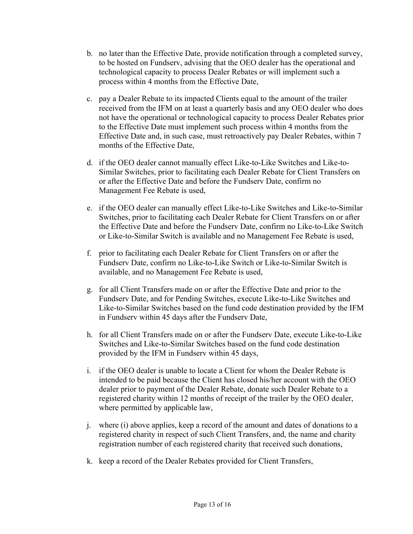- b. no later than the Effective Date, provide notification through a completed survey, to be hosted on Fundserv, advising that the OEO dealer has the operational and technological capacity to process Dealer Rebates or will implement such a process within 4 months from the Effective Date,
- c. pay a Dealer Rebate to its impacted Clients equal to the amount of the trailer received from the IFM on at least a quarterly basis and any OEO dealer who does not have the operational or technological capacity to process Dealer Rebates prior to the Effective Date must implement such process within 4 months from the Effective Date and, in such case, must retroactively pay Dealer Rebates, within 7 months of the Effective Date,
- d. if the OEO dealer cannot manually effect Like-to-Like Switches and Like-to-Similar Switches, prior to facilitating each Dealer Rebate for Client Transfers on or after the Effective Date and before the Fundserv Date, confirm no Management Fee Rebate is used,
- e. if the OEO dealer can manually effect Like-to-Like Switches and Like-to-Similar Switches, prior to facilitating each Dealer Rebate for Client Transfers on or after the Effective Date and before the Fundserv Date, confirm no Like-to-Like Switch or Like-to-Similar Switch is available and no Management Fee Rebate is used,
- f. prior to facilitating each Dealer Rebate for Client Transfers on or after the Fundserv Date, confirm no Like-to-Like Switch or Like-to-Similar Switch is available, and no Management Fee Rebate is used,
- g. for all Client Transfers made on or after the Effective Date and prior to the Fundserv Date, and for Pending Switches, execute Like-to-Like Switches and Like-to-Similar Switches based on the fund code destination provided by the IFM in Fundserv within 45 days after the Fundserv Date,
- h. for all Client Transfers made on or after the Fundserv Date, execute Like-to-Like Switches and Like-to-Similar Switches based on the fund code destination provided by the IFM in Fundserv within 45 days,
- i. if the OEO dealer is unable to locate a Client for whom the Dealer Rebate is intended to be paid because the Client has closed his/her account with the OEO dealer prior to payment of the Dealer Rebate, donate such Dealer Rebate to a registered charity within 12 months of receipt of the trailer by the OEO dealer, where permitted by applicable law,
- j. where (i) above applies, keep a record of the amount and dates of donations to a registered charity in respect of such Client Transfers, and, the name and charity registration number of each registered charity that received such donations,
- k. keep a record of the Dealer Rebates provided for Client Transfers,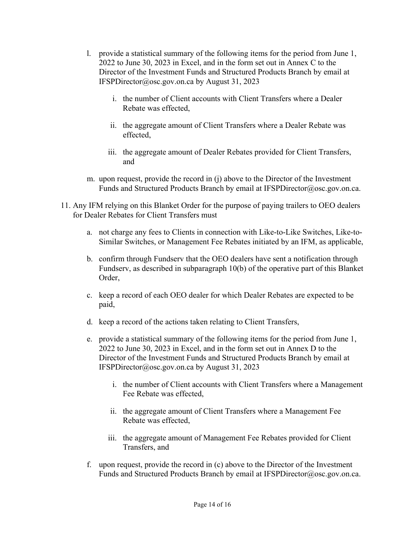- l. provide a statistical summary of the following items for the period from June 1, 2022 to June 30, 2023 in Excel, and in the form set out in Annex C to the Director of the Investment Funds and Structured Products Branch by email at IFSPDirector@osc.gov.on.ca by August 31, 2023
	- i. the number of Client accounts with Client Transfers where a Dealer Rebate was effected,
	- ii. the aggregate amount of Client Transfers where a Dealer Rebate was effected,
	- iii. the aggregate amount of Dealer Rebates provided for Client Transfers, and
- m. upon request, provide the record in (j) above to the Director of the Investment Funds and Structured Products Branch by email at IFSPDirector@osc.gov.on.ca.
- 11. Any IFM relying on this Blanket Order for the purpose of paying trailers to OEO dealers for Dealer Rebates for Client Transfers must
	- a. not charge any fees to Clients in connection with Like-to-Like Switches, Like-to-Similar Switches, or Management Fee Rebates initiated by an IFM, as applicable,
	- b. confirm through Fundserv that the OEO dealers have sent a notification through Fundserv, as described in subparagraph 10(b) of the operative part of this Blanket Order,
	- c. keep a record of each OEO dealer for which Dealer Rebates are expected to be paid,
	- d. keep a record of the actions taken relating to Client Transfers,
	- e. provide a statistical summary of the following items for the period from June 1, 2022 to June 30, 2023 in Excel, and in the form set out in Annex D to the Director of the Investment Funds and Structured Products Branch by email at IFSPDirector@osc.gov.on.ca by August 31, 2023
		- i. the number of Client accounts with Client Transfers where a Management Fee Rebate was effected,
		- ii. the aggregate amount of Client Transfers where a Management Fee Rebate was effected,
		- iii. the aggregate amount of Management Fee Rebates provided for Client Transfers, and
	- f. upon request, provide the record in (c) above to the Director of the Investment Funds and Structured Products Branch by email at IFSPDirector@osc.gov.on.ca.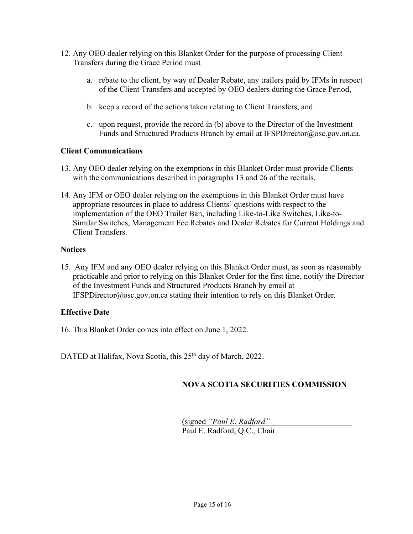- 12. Any OEO dealer relying on this Blanket Order for the purpose of processing Client Transfers during the Grace Period must
	- a. rebate to the client, by way of Dealer Rebate, any trailers paid by IFMs in respect of the Client Transfers and accepted by OEO dealers during the Grace Period,
	- b. keep a record of the actions taken relating to Client Transfers, and
	- c. upon request, provide the record in (b) above to the Director of the Investment Funds and Structured Products Branch by email at IFSPDirector@osc.gov.on.ca.

#### **Client Communications**

- 13. Any OEO dealer relying on the exemptions in this Blanket Order must provide Clients with the communications described in paragraphs 13 and 26 of the recitals.
- 14. Any IFM or OEO dealer relying on the exemptions in this Blanket Order must have appropriate resources in place to address Clients' questions with respect to the implementation of the OEO Trailer Ban, including Like-to-Like Switches, Like-to-Similar Switches, Management Fee Rebates and Dealer Rebates for Current Holdings and Client Transfers.

#### **Notices**

15. Any IFM and any OEO dealer relying on this Blanket Order must, as soon as reasonably practicable and prior to relying on this Blanket Order for the first time, notify the Director of the Investment Funds and Structured Products Branch by email at IFSPDirector@osc.gov.on.ca stating their intention to rely on this Blanket Order.

### **Effective Date**

16. This Blanket Order comes into effect on June 1, 2022.

DATED at Halifax, Nova Scotia, this 25<sup>th</sup> day of March, 2022.

### **NOVA SCOTIA SECURITIES COMMISSION**

(signed *"Paul E. Radford"* Paul E. Radford, Q.C., Chair